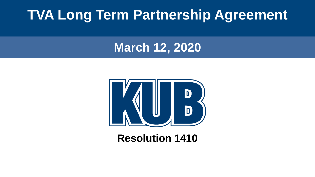## **TVA Long Term Partnership Agreement**

#### **March 12, 2020**



#### **Resolution 1410**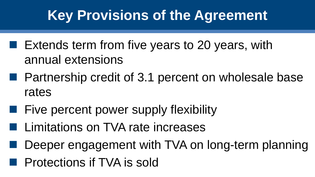# **Key Provisions of the Agreement**

- $\blacksquare$  Extends term from five years to 20 years, with annual extensions
- Partnership credit of 3.1 percent on wholesale base rates
- Five percent power supply flexibility
- Limitations on TVA rate increases
- Deeper engagement with TVA on long-term planning
- **Exercise Protections if TVA is sold**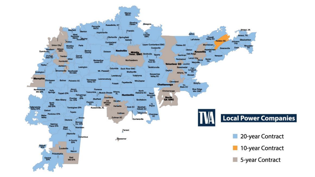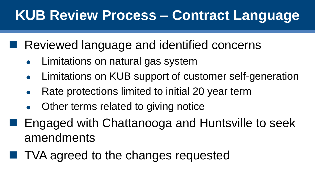# **KUB Review Process – Contract Language**

Reviewed language and identified concerns

- Limitations on natural gas system
- Limitations on KUB support of customer self-generation
- Rate protections limited to initial 20 year term
- Other terms related to giving notice
- Engaged with Chattanooga and Huntsville to seek amendments
- TVA agreed to the changes requested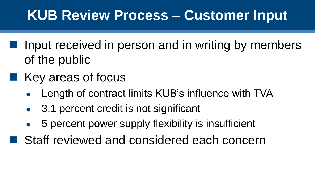## **KUB Review Process – Customer Input**

- Input received in person and in writing by members of the public
- Key areas of focus
	- Length of contract limits KUB's influence with TVA
	- 3.1 percent credit is not significant
	- 5 percent power supply flexibility is insufficient
- Staff reviewed and considered each concern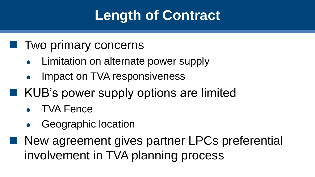# **Length of Contract**

#### ■ Two primary concerns

- Limitation on alternate power supply
- Impact on TVA responsiveness
- KUB's power supply options are limited
	- TVA Fence
	- Geographic location
- New agreement gives partner LPCs preferential involvement in TVA planning process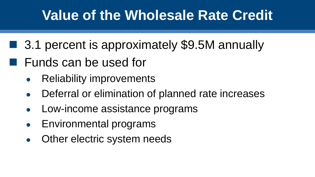## **Value of the Wholesale Rate Credit**

- 3.1 percent is approximately \$9.5M annually
- Funds can be used for
	- Reliability improvements
	- Deferral or elimination of planned rate increases
	- Low-income assistance programs
	- Environmental programs
	- Other electric system needs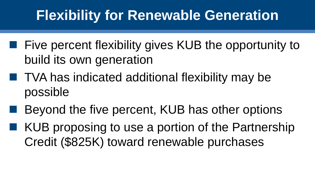# **Flexibility for Renewable Generation**

- Five percent flexibility gives KUB the opportunity to build its own generation
- TVA has indicated additional flexibility may be possible
- Beyond the five percent, KUB has other options
- KUB proposing to use a portion of the Partnership Credit (\$825K) toward renewable purchases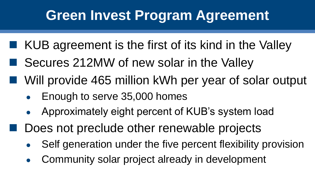# **Green Invest Program Agreement**

- KUB agreement is the first of its kind in the Valley
- Secures 212MW of new solar in the Valley
- Will provide 465 million kWh per year of solar output
	- Enough to serve 35,000 homes
	- Approximately eight percent of KUB's system load
	- Does not preclude other renewable projects
		- Self generation under the five percent flexibility provision
		- Community solar project already in development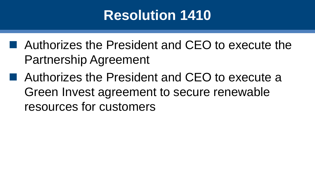# **Resolution 1410**

- Authorizes the President and CEO to execute the Partnership Agreement
- Authorizes the President and CEO to execute a Green Invest agreement to secure renewable resources for customers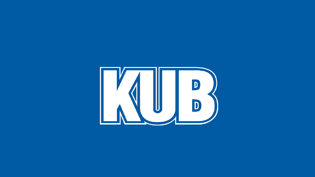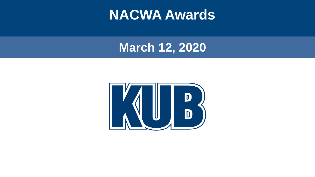### **NACWA Awards**

#### **March 12, 2020**

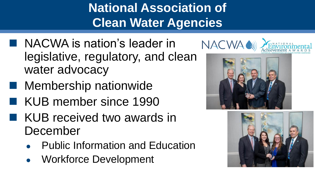**National Association of Clean Water Agencies**

- NACWA is nation's leader in legislative, regulatory, and clean water advocacy
- Membership nationwide
- KUB member since 1990
- KUB received two awards in December
	- **Public Information and Education**
	- Workforce Development





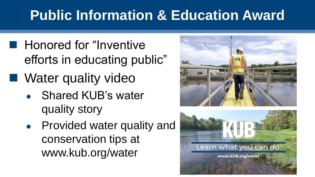# **Public Information & Education Award**

- Honored for "Inventive efforts in educating public"
- Water quality video
	- Shared KUB's water quality story
	- Provided water quality and conservation tips at www.kub.org/water



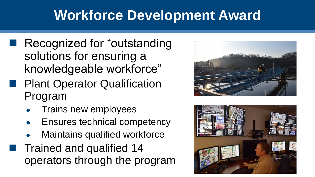# **Workforce Development Award**

- Recognized for "outstanding" solutions for ensuring a knowledgeable workforce"
- **Example 12 Plant Operator Qualification** Program
	- Trains new employees
	- Ensures technical competency
	- **Maintains qualified workforce**
- Trained and qualified 14 operators through the program